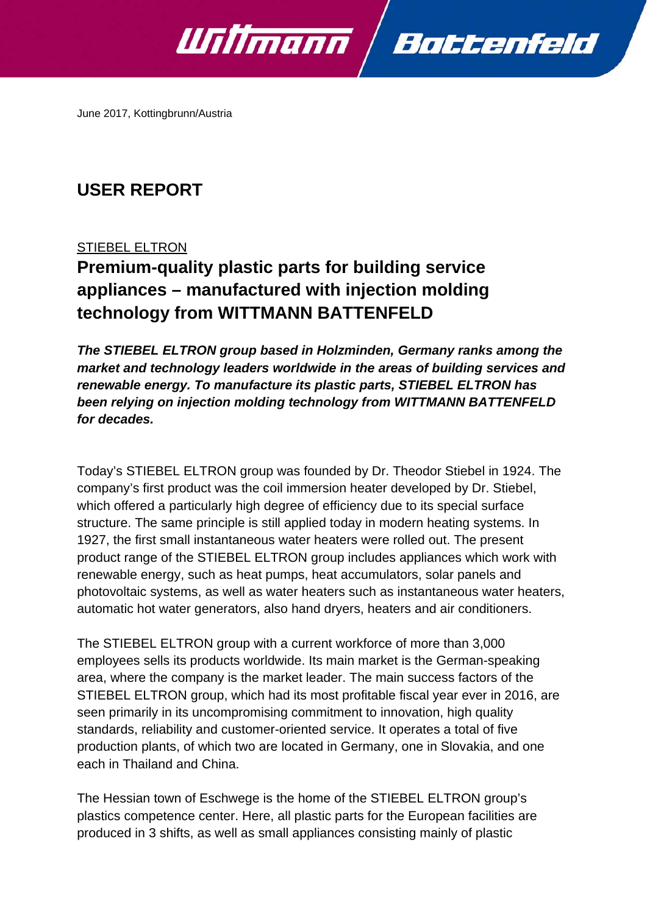



June 2017, Kottingbrunn/Austria

## **USER REPORT**

## STIEBEL ELTRON

# **Premium-quality plastic parts for building service appliances – manufactured with injection molding technology from WITTMANN BATTENFELD**

*The STIEBEL ELTRON group based in Holzminden, Germany ranks among the market and technology leaders worldwide in the areas of building services and renewable energy. To manufacture its plastic parts, STIEBEL ELTRON has been relying on injection molding technology from WITTMANN BATTENFELD for decades.* 

Today's STIEBEL ELTRON group was founded by Dr. Theodor Stiebel in 1924. The company's first product was the coil immersion heater developed by Dr. Stiebel, which offered a particularly high degree of efficiency due to its special surface structure. The same principle is still applied today in modern heating systems. In 1927, the first small instantaneous water heaters were rolled out. The present product range of the STIEBEL ELTRON group includes appliances which work with renewable energy, such as heat pumps, heat accumulators, solar panels and photovoltaic systems, as well as water heaters such as instantaneous water heaters, automatic hot water generators, also hand dryers, heaters and air conditioners.

The STIEBEL ELTRON group with a current workforce of more than 3,000 employees sells its products worldwide. Its main market is the German-speaking area, where the company is the market leader. The main success factors of the STIEBEL ELTRON group, which had its most profitable fiscal year ever in 2016, are seen primarily in its uncompromising commitment to innovation, high quality standards, reliability and customer-oriented service. It operates a total of five production plants, of which two are located in Germany, one in Slovakia, and one each in Thailand and China.

The Hessian town of Eschwege is the home of the STIEBEL ELTRON group's plastics competence center. Here, all plastic parts for the European facilities are produced in 3 shifts, as well as small appliances consisting mainly of plastic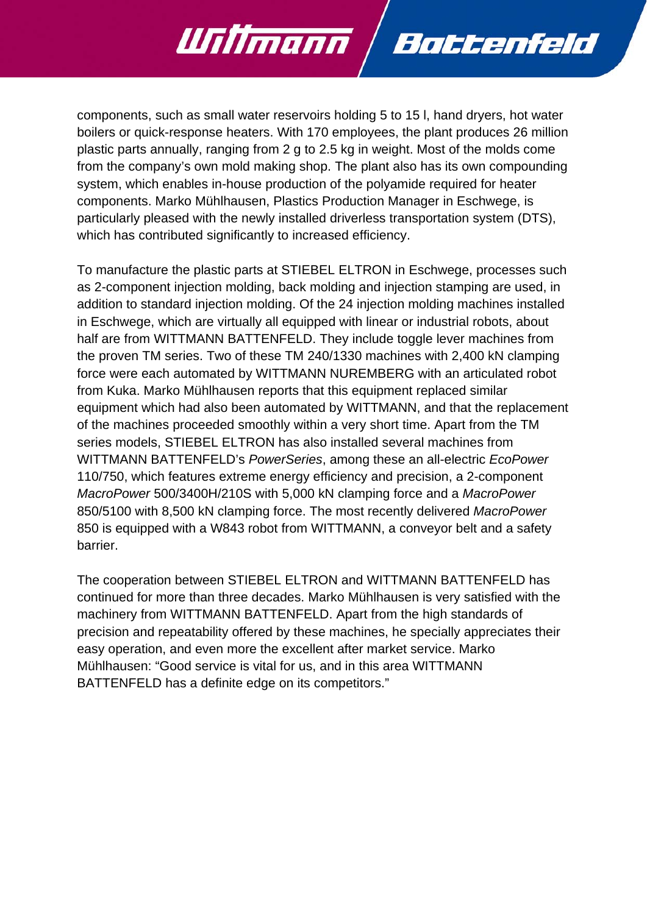components, such as small water reservoirs holding 5 to 15 l, hand dryers, hot water boilers or quick-response heaters. With 170 employees, the plant produces 26 million plastic parts annually, ranging from 2 g to 2.5 kg in weight. Most of the molds come from the company's own mold making shop. The plant also has its own compounding system, which enables in-house production of the polyamide required for heater components. Marko Mühlhausen, Plastics Production Manager in Eschwege, is particularly pleased with the newly installed driverless transportation system (DTS), which has contributed significantly to increased efficiency.

Battenfeld

Willmann

To manufacture the plastic parts at STIEBEL ELTRON in Eschwege, processes such as 2-component injection molding, back molding and injection stamping are used, in addition to standard injection molding. Of the 24 injection molding machines installed in Eschwege, which are virtually all equipped with linear or industrial robots, about half are from WITTMANN BATTENFELD. They include toggle lever machines from the proven TM series. Two of these TM 240/1330 machines with 2,400 kN clamping force were each automated by WITTMANN NUREMBERG with an articulated robot from Kuka. Marko Mühlhausen reports that this equipment replaced similar equipment which had also been automated by WITTMANN, and that the replacement of the machines proceeded smoothly within a very short time. Apart from the TM series models, STIEBEL ELTRON has also installed several machines from WITTMANN BATTENFELD's *PowerSeries*, among these an all-electric *EcoPower* 110/750, which features extreme energy efficiency and precision, a 2-component *MacroPower* 500/3400H/210S with 5,000 kN clamping force and a *MacroPower*  850/5100 with 8,500 kN clamping force. The most recently delivered *MacroPower*  850 is equipped with a W843 robot from WITTMANN, a conveyor belt and a safety barrier.

The cooperation between STIEBEL ELTRON and WITTMANN BATTENFELD has continued for more than three decades. Marko Mühlhausen is very satisfied with the machinery from WITTMANN BATTENFELD. Apart from the high standards of precision and repeatability offered by these machines, he specially appreciates their easy operation, and even more the excellent after market service. Marko Mühlhausen: "Good service is vital for us, and in this area WITTMANN BATTENFELD has a definite edge on its competitors."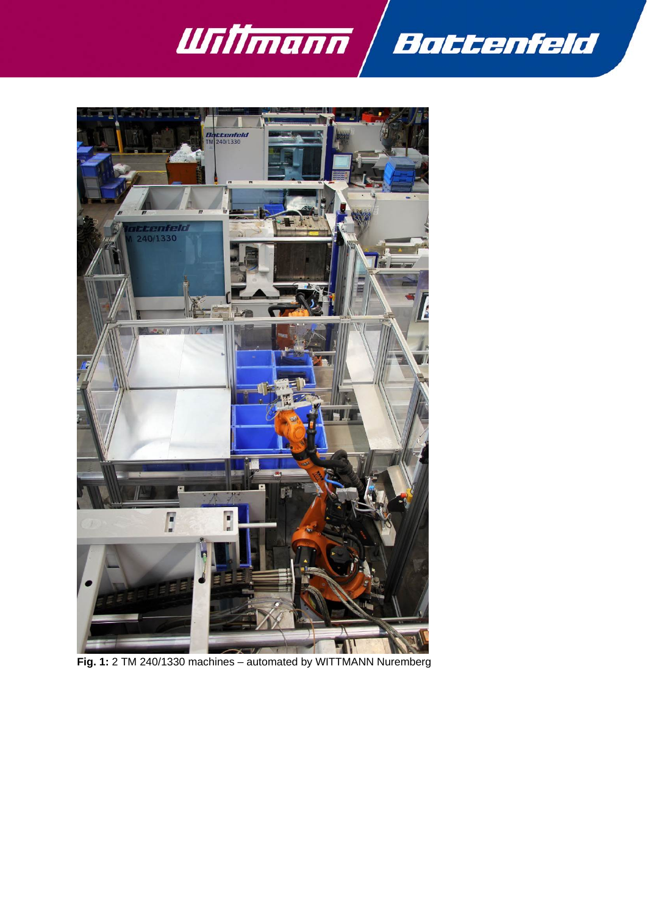



**Fig. 1:** 2 TM 240/1330 machines – automated by WITTMANN Nuremberg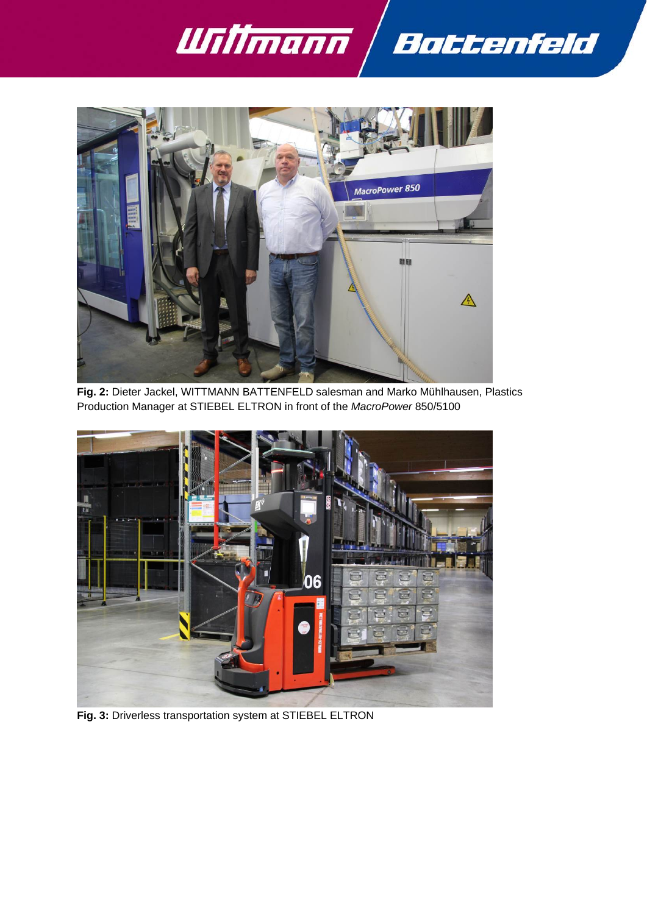



**Fig. 2:** Dieter Jackel, WITTMANN BATTENFELD salesman and Marko Mühlhausen, Plastics Production Manager at STIEBEL ELTRON in front of the *MacroPower* 850/5100



**Fig. 3:** Driverless transportation system at STIEBEL ELTRON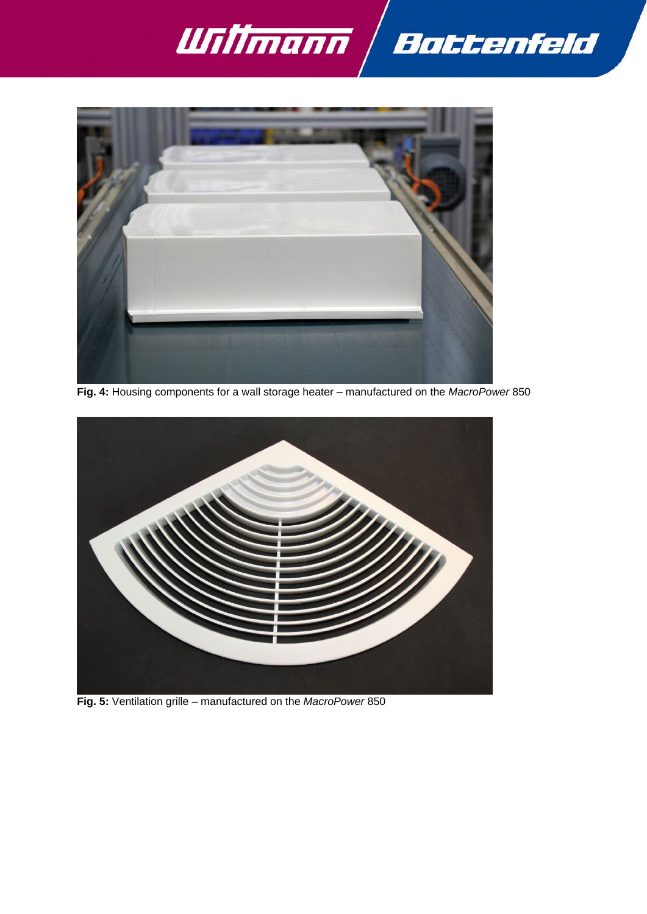



**Fig. 4:** Housing components for a wall storage heater – manufactured on the *MacroPower* 850



**Fig. 5:** Ventilation grille – manufactured on the *MacroPower* 850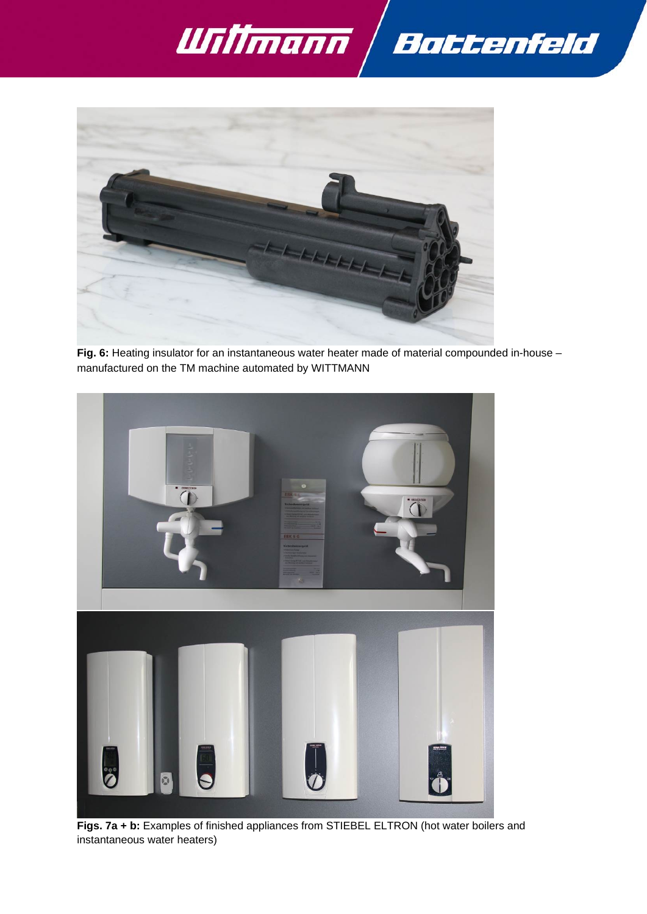



**Fig. 6:** Heating insulator for an instantaneous water heater made of material compounded in-house – manufactured on the TM machine automated by WITTMANN



**Figs. 7a + b:** Examples of finished appliances from STIEBEL ELTRON (hot water boilers and instantaneous water heaters)